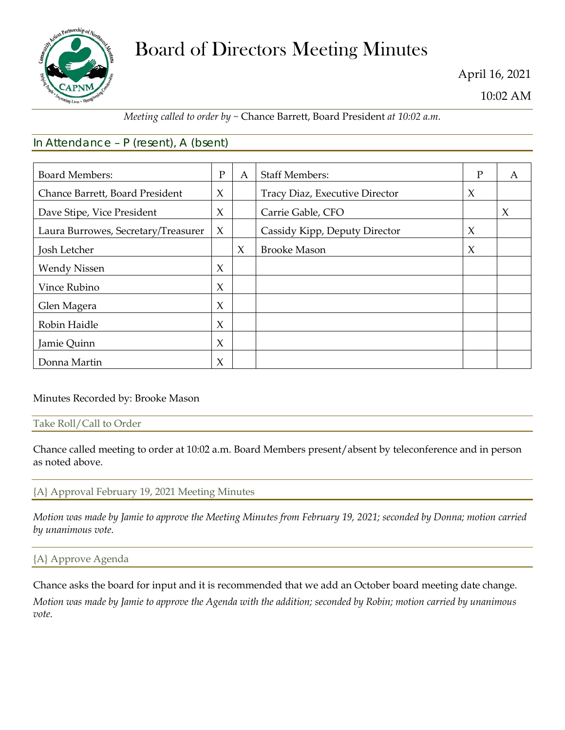

# Board of Directors Meeting Minutes

April 16, 2021

10:02 AM

## *Meeting called to order by ~* Chance Barrett, Board President *at 10:02 a.m.*

# In Attendance – P (resent), A (bsent)

| <b>Board Members:</b>               | $\mathbf{P}$ | A      | <b>Staff Members:</b>          | P      | A      |
|-------------------------------------|--------------|--------|--------------------------------|--------|--------|
| Chance Barrett, Board President     | X            |        | Tracy Diaz, Executive Director | $\chi$ |        |
| Dave Stipe, Vice President          | X            |        | Carrie Gable, CFO              |        | $\chi$ |
| Laura Burrowes, Secretary/Treasurer | $\chi$       |        | Cassidy Kipp, Deputy Director  | $\chi$ |        |
| Josh Letcher                        |              | $\chi$ | <b>Brooke Mason</b>            | $\chi$ |        |
| <b>Wendy Nissen</b>                 | X            |        |                                |        |        |
| Vince Rubino                        | $\chi$       |        |                                |        |        |
| Glen Magera                         | $\chi$       |        |                                |        |        |
| Robin Haidle                        | $\chi$       |        |                                |        |        |
| Jamie Quinn                         | X            |        |                                |        |        |
| Donna Martin                        | X            |        |                                |        |        |

## Minutes Recorded by: Brooke Mason

### Take Roll/Call to Order

Chance called meeting to order at 10:02 a.m. Board Members present/absent by teleconference and in person as noted above.

## {A} Approval February 19, 2021 Meeting Minutes

*Motion was made by Jamie to approve the Meeting Minutes from February 19, 2021; seconded by Donna; motion carried by unanimous vote.*

## {A} Approve Agenda

Chance asks the board for input and it is recommended that we add an October board meeting date change.

*Motion was made by Jamie to approve the Agenda with the addition; seconded by Robin; motion carried by unanimous vote.*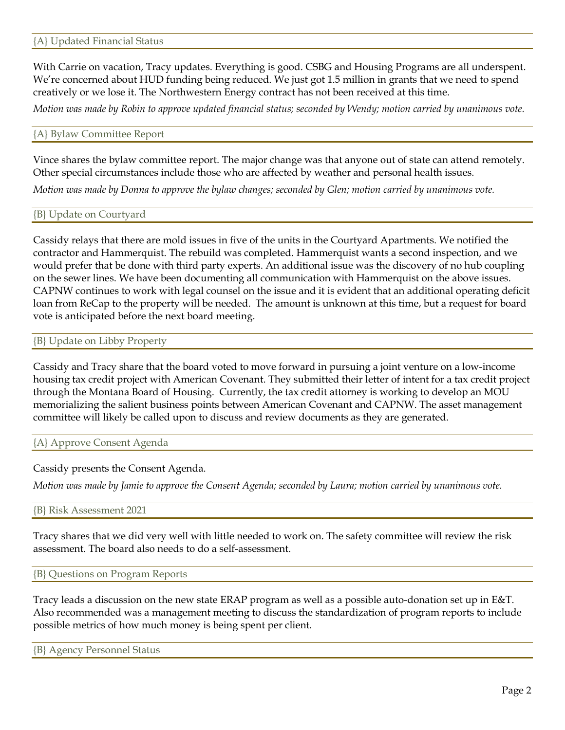With Carrie on vacation, Tracy updates. Everything is good. CSBG and Housing Programs are all underspent. We're concerned about HUD funding being reduced. We just got 1.5 million in grants that we need to spend creatively or we lose it. The Northwestern Energy contract has not been received at this time.

*Motion was made by Robin to approve updated financial status; seconded by Wendy; motion carried by unanimous vote.*

#### {A} Bylaw Committee Report

Vince shares the bylaw committee report. The major change was that anyone out of state can attend remotely. Other special circumstances include those who are affected by weather and personal health issues.

*Motion was made by Donna to approve the bylaw changes; seconded by Glen; motion carried by unanimous vote.*

{B} Update on Courtyard

Cassidy relays that there are mold issues in five of the units in the Courtyard Apartments. We notified the contractor and Hammerquist. The rebuild was completed. Hammerquist wants a second inspection, and we would prefer that be done with third party experts. An additional issue was the discovery of no hub coupling on the sewer lines. We have been documenting all communication with Hammerquist on the above issues. CAPNW continues to work with legal counsel on the issue and it is evident that an additional operating deficit loan from ReCap to the property will be needed. The amount is unknown at this time, but a request for board vote is anticipated before the next board meeting.

#### {B} Update on Libby Property

Cassidy and Tracy share that the board voted to move forward in pursuing a joint venture on a low-income housing tax credit project with American Covenant. They submitted their letter of intent for a tax credit project through the Montana Board of Housing. Currently, the tax credit attorney is working to develop an MOU memorializing the salient business points between American Covenant and CAPNW. The asset management committee will likely be called upon to discuss and review documents as they are generated.

{A} Approve Consent Agenda

Cassidy presents the Consent Agenda.

*Motion was made by Jamie to approve the Consent Agenda; seconded by Laura; motion carried by unanimous vote.*

{B} Risk Assessment 2021

Tracy shares that we did very well with little needed to work on. The safety committee will review the risk assessment. The board also needs to do a self-assessment.

{B} Questions on Program Reports

Tracy leads a discussion on the new state ERAP program as well as a possible auto-donation set up in E&T. Also recommended was a management meeting to discuss the standardization of program reports to include possible metrics of how much money is being spent per client.

{B} Agency Personnel Status